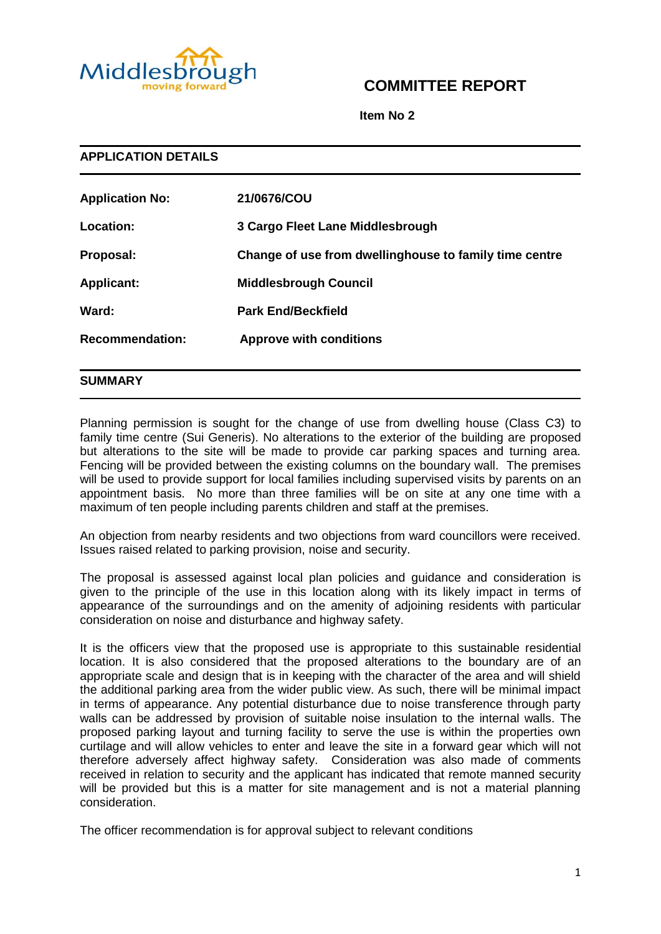

# **COMMITTEE REPORT**

**Item No 2**

| <b>APPLICATION DETAILS</b> |                                                        |  |
|----------------------------|--------------------------------------------------------|--|
| <b>Application No:</b>     | 21/0676/COU                                            |  |
| Location:                  | 3 Cargo Fleet Lane Middlesbrough                       |  |
| Proposal:                  | Change of use from dwellinghouse to family time centre |  |
| <b>Applicant:</b>          | <b>Middlesbrough Council</b>                           |  |
| Ward:                      | <b>Park End/Beckfield</b>                              |  |
| <b>Recommendation:</b>     | <b>Approve with conditions</b>                         |  |
|                            |                                                        |  |

# **SUMMARY**

Planning permission is sought for the change of use from dwelling house (Class C3) to family time centre (Sui Generis). No alterations to the exterior of the building are proposed but alterations to the site will be made to provide car parking spaces and turning area. Fencing will be provided between the existing columns on the boundary wall. The premises will be used to provide support for local families including supervised visits by parents on an appointment basis. No more than three families will be on site at any one time with a maximum of ten people including parents children and staff at the premises.

An objection from nearby residents and two objections from ward councillors were received. Issues raised related to parking provision, noise and security.

The proposal is assessed against local plan policies and guidance and consideration is given to the principle of the use in this location along with its likely impact in terms of appearance of the surroundings and on the amenity of adjoining residents with particular consideration on noise and disturbance and highway safety.

It is the officers view that the proposed use is appropriate to this sustainable residential location. It is also considered that the proposed alterations to the boundary are of an appropriate scale and design that is in keeping with the character of the area and will shield the additional parking area from the wider public view. As such, there will be minimal impact in terms of appearance. Any potential disturbance due to noise transference through party walls can be addressed by provision of suitable noise insulation to the internal walls. The proposed parking layout and turning facility to serve the use is within the properties own curtilage and will allow vehicles to enter and leave the site in a forward gear which will not therefore adversely affect highway safety. Consideration was also made of comments received in relation to security and the applicant has indicated that remote manned security will be provided but this is a matter for site management and is not a material planning consideration.

The officer recommendation is for approval subject to relevant conditions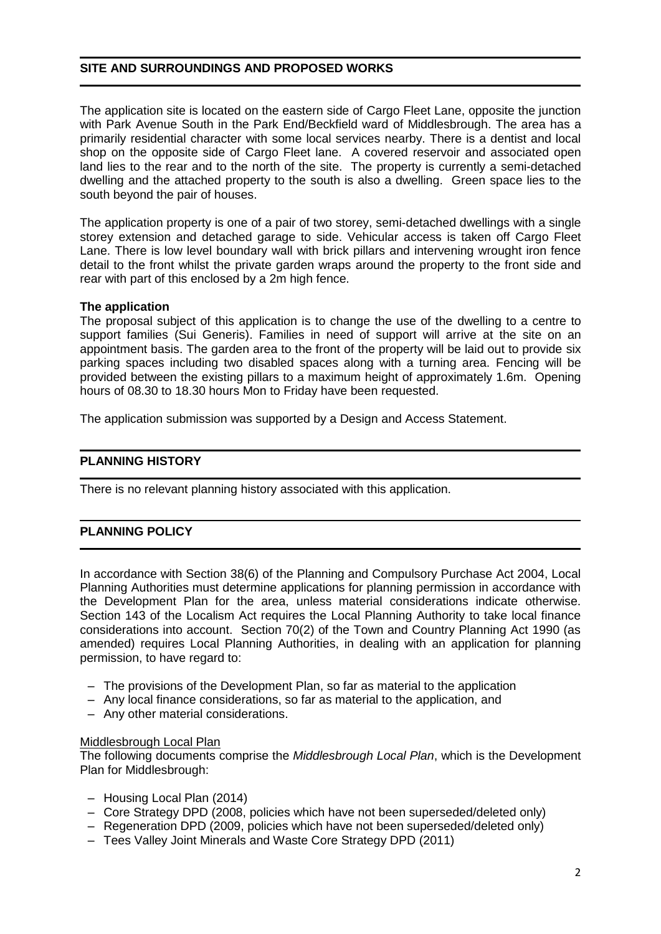# **SITE AND SURROUNDINGS AND PROPOSED WORKS**

The application site is located on the eastern side of Cargo Fleet Lane, opposite the junction with Park Avenue South in the Park End/Beckfield ward of Middlesbrough. The area has a primarily residential character with some local services nearby. There is a dentist and local shop on the opposite side of Cargo Fleet lane. A covered reservoir and associated open land lies to the rear and to the north of the site. The property is currently a semi-detached dwelling and the attached property to the south is also a dwelling. Green space lies to the south beyond the pair of houses.

The application property is one of a pair of two storey, semi-detached dwellings with a single storey extension and detached garage to side. Vehicular access is taken off Cargo Fleet Lane. There is low level boundary wall with brick pillars and intervening wrought iron fence detail to the front whilst the private garden wraps around the property to the front side and rear with part of this enclosed by a 2m high fence.

# **The application**

The proposal subject of this application is to change the use of the dwelling to a centre to support families (Sui Generis). Families in need of support will arrive at the site on an appointment basis. The garden area to the front of the property will be laid out to provide six parking spaces including two disabled spaces along with a turning area. Fencing will be provided between the existing pillars to a maximum height of approximately 1.6m. Opening hours of 08.30 to 18.30 hours Mon to Friday have been requested.

The application submission was supported by a Design and Access Statement.

# **PLANNING HISTORY**

There is no relevant planning history associated with this application.

# **PLANNING POLICY**

In accordance with Section 38(6) of the Planning and Compulsory Purchase Act 2004, Local Planning Authorities must determine applications for planning permission in accordance with the Development Plan for the area, unless material considerations indicate otherwise. Section 143 of the Localism Act requires the Local Planning Authority to take local finance considerations into account. Section 70(2) of the Town and Country Planning Act 1990 (as amended) requires Local Planning Authorities, in dealing with an application for planning permission, to have regard to:

- The provisions of the Development Plan, so far as material to the application
- Any local finance considerations, so far as material to the application, and
- Any other material considerations.

#### Middlesbrough Local Plan

The following documents comprise the *Middlesbrough Local Plan*, which is the Development Plan for Middlesbrough:

- Housing Local Plan (2014)
- Core Strategy DPD (2008, policies which have not been superseded/deleted only)
- Regeneration DPD (2009, policies which have not been superseded/deleted only)
- Tees Valley Joint Minerals and Waste Core Strategy DPD (2011)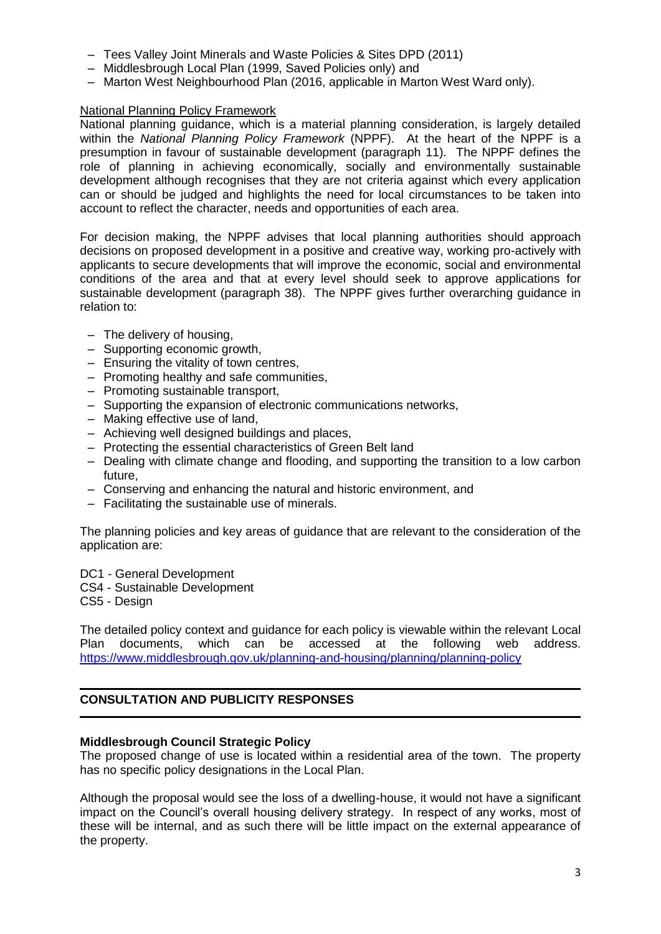- Tees Valley Joint Minerals and Waste Policies & Sites DPD (2011)
- Middlesbrough Local Plan (1999, Saved Policies only) and
- Marton West Neighbourhood Plan (2016, applicable in Marton West Ward only).

# National Planning Policy Framework

National planning guidance, which is a material planning consideration, is largely detailed within the *National Planning Policy Framework* (NPPF). At the heart of the NPPF is a presumption in favour of sustainable development (paragraph 11). The NPPF defines the role of planning in achieving economically, socially and environmentally sustainable development although recognises that they are not criteria against which every application can or should be judged and highlights the need for local circumstances to be taken into account to reflect the character, needs and opportunities of each area.

For decision making, the NPPF advises that local planning authorities should approach decisions on proposed development in a positive and creative way, working pro-actively with applicants to secure developments that will improve the economic, social and environmental conditions of the area and that at every level should seek to approve applications for sustainable development (paragraph 38). The NPPF gives further overarching guidance in relation to:

- The delivery of housing,
- Supporting economic growth,
- Ensuring the vitality of town centres,
- Promoting healthy and safe communities,
- Promoting sustainable transport,
- Supporting the expansion of electronic communications networks,
- Making effective use of land,
- Achieving well designed buildings and places,
- Protecting the essential characteristics of Green Belt land
- Dealing with climate change and flooding, and supporting the transition to a low carbon future,
- Conserving and enhancing the natural and historic environment, and
- Facilitating the sustainable use of minerals.

The planning policies and key areas of guidance that are relevant to the consideration of the application are:

- DC1 General Development
- CS4 Sustainable Development
- CS5 Design

The detailed policy context and guidance for each policy is viewable within the relevant Local Plan documents, which can be accessed at the following web address. <https://www.middlesbrough.gov.uk/planning-and-housing/planning/planning-policy>

# **CONSULTATION AND PUBLICITY RESPONSES**

#### **Middlesbrough Council Strategic Policy**

The proposed change of use is located within a residential area of the town. The property has no specific policy designations in the Local Plan.

Although the proposal would see the loss of a dwelling-house, it would not have a significant impact on the Council's overall housing delivery strategy. In respect of any works, most of these will be internal, and as such there will be little impact on the external appearance of the property.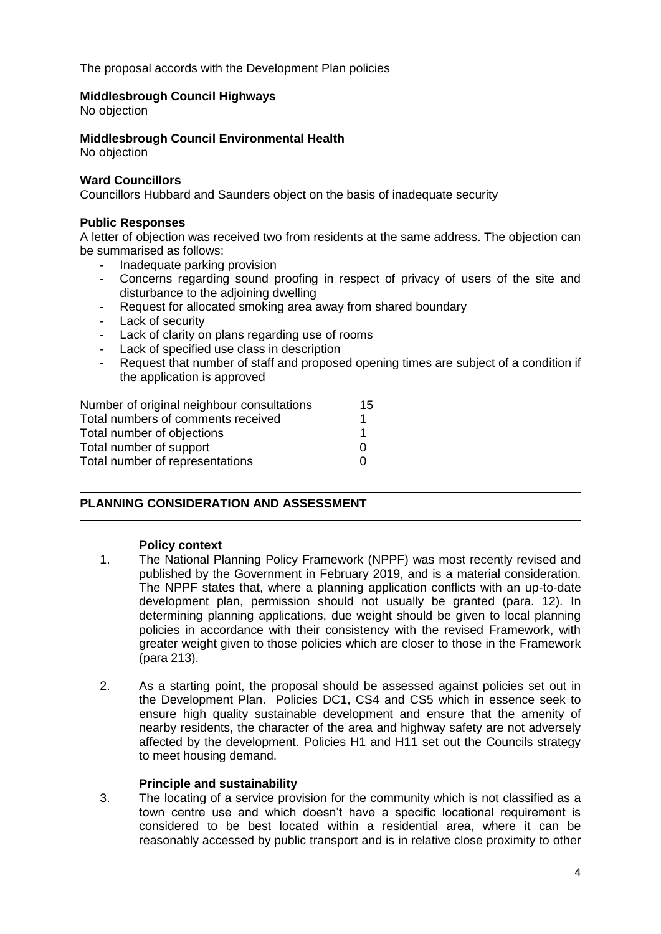The proposal accords with the Development Plan policies

# **Middlesbrough Council Highways**

No objection

# **Middlesbrough Council Environmental Health**

No objection

#### **Ward Councillors**

Councillors Hubbard and Saunders object on the basis of inadequate security

### **Public Responses**

A letter of objection was received two from residents at the same address. The objection can be summarised as follows:

- Inadequate parking provision
- Concerns regarding sound proofing in respect of privacy of users of the site and disturbance to the adjoining dwelling
- Request for allocated smoking area away from shared boundary
- Lack of security
- Lack of clarity on plans regarding use of rooms
- Lack of specified use class in description
- Request that number of staff and proposed opening times are subject of a condition if the application is approved

| Number of original neighbour consultations | 15 |
|--------------------------------------------|----|
| Total numbers of comments received         |    |
| Total number of objections                 |    |
| Total number of support                    | O  |
| Total number of representations            |    |

# **PLANNING CONSIDERATION AND ASSESSMENT**

#### **Policy context**

- 1. The National Planning Policy Framework (NPPF) was most recently revised and published by the Government in February 2019, and is a material consideration. The NPPF states that, where a planning application conflicts with an up-to-date development plan, permission should not usually be granted (para. 12). In determining planning applications, due weight should be given to local planning policies in accordance with their consistency with the revised Framework, with greater weight given to those policies which are closer to those in the Framework (para 213).
- 2. As a starting point, the proposal should be assessed against policies set out in the Development Plan. Policies DC1, CS4 and CS5 which in essence seek to ensure high quality sustainable development and ensure that the amenity of nearby residents, the character of the area and highway safety are not adversely affected by the development. Policies H1 and H11 set out the Councils strategy to meet housing demand.

#### **Principle and sustainability**

3. The locating of a service provision for the community which is not classified as a town centre use and which doesn't have a specific locational requirement is considered to be best located within a residential area, where it can be reasonably accessed by public transport and is in relative close proximity to other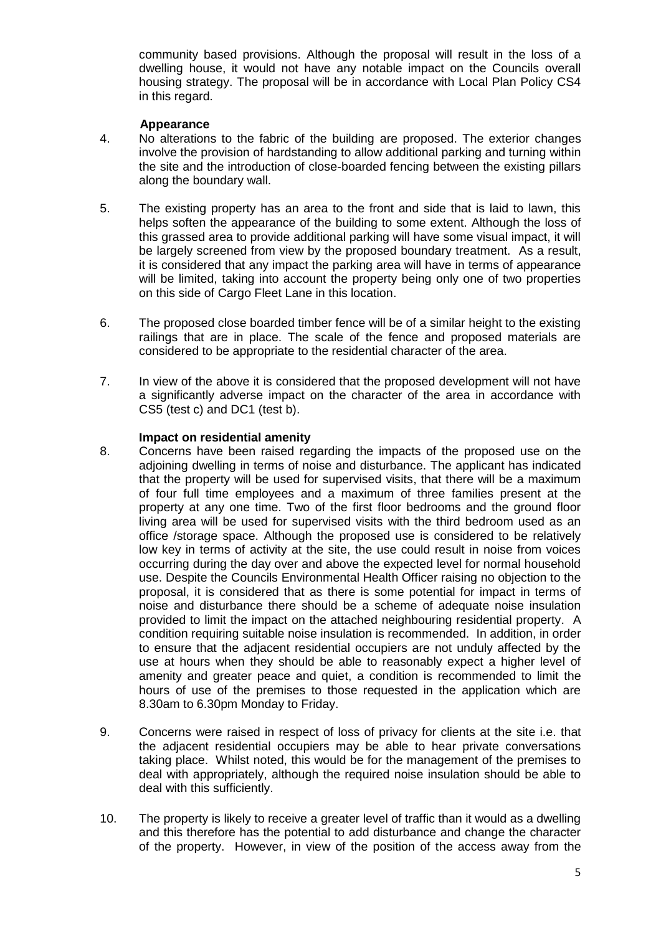community based provisions. Although the proposal will result in the loss of a dwelling house, it would not have any notable impact on the Councils overall housing strategy. The proposal will be in accordance with Local Plan Policy CS4 in this regard.

# **Appearance**

- 4. No alterations to the fabric of the building are proposed. The exterior changes involve the provision of hardstanding to allow additional parking and turning within the site and the introduction of close-boarded fencing between the existing pillars along the boundary wall.
- 5. The existing property has an area to the front and side that is laid to lawn, this helps soften the appearance of the building to some extent. Although the loss of this grassed area to provide additional parking will have some visual impact, it will be largely screened from view by the proposed boundary treatment. As a result, it is considered that any impact the parking area will have in terms of appearance will be limited, taking into account the property being only one of two properties on this side of Cargo Fleet Lane in this location.
- 6. The proposed close boarded timber fence will be of a similar height to the existing railings that are in place. The scale of the fence and proposed materials are considered to be appropriate to the residential character of the area.
- 7. In view of the above it is considered that the proposed development will not have a significantly adverse impact on the character of the area in accordance with CS5 (test c) and DC1 (test b).

#### **Impact on residential amenity**

- 8. Concerns have been raised regarding the impacts of the proposed use on the adjoining dwelling in terms of noise and disturbance. The applicant has indicated that the property will be used for supervised visits, that there will be a maximum of four full time employees and a maximum of three families present at the property at any one time. Two of the first floor bedrooms and the ground floor living area will be used for supervised visits with the third bedroom used as an office /storage space. Although the proposed use is considered to be relatively low key in terms of activity at the site, the use could result in noise from voices occurring during the day over and above the expected level for normal household use. Despite the Councils Environmental Health Officer raising no objection to the proposal, it is considered that as there is some potential for impact in terms of noise and disturbance there should be a scheme of adequate noise insulation provided to limit the impact on the attached neighbouring residential property. A condition requiring suitable noise insulation is recommended. In addition, in order to ensure that the adjacent residential occupiers are not unduly affected by the use at hours when they should be able to reasonably expect a higher level of amenity and greater peace and quiet, a condition is recommended to limit the hours of use of the premises to those requested in the application which are 8.30am to 6.30pm Monday to Friday.
- 9. Concerns were raised in respect of loss of privacy for clients at the site i.e. that the adjacent residential occupiers may be able to hear private conversations taking place. Whilst noted, this would be for the management of the premises to deal with appropriately, although the required noise insulation should be able to deal with this sufficiently.
- 10. The property is likely to receive a greater level of traffic than it would as a dwelling and this therefore has the potential to add disturbance and change the character of the property. However, in view of the position of the access away from the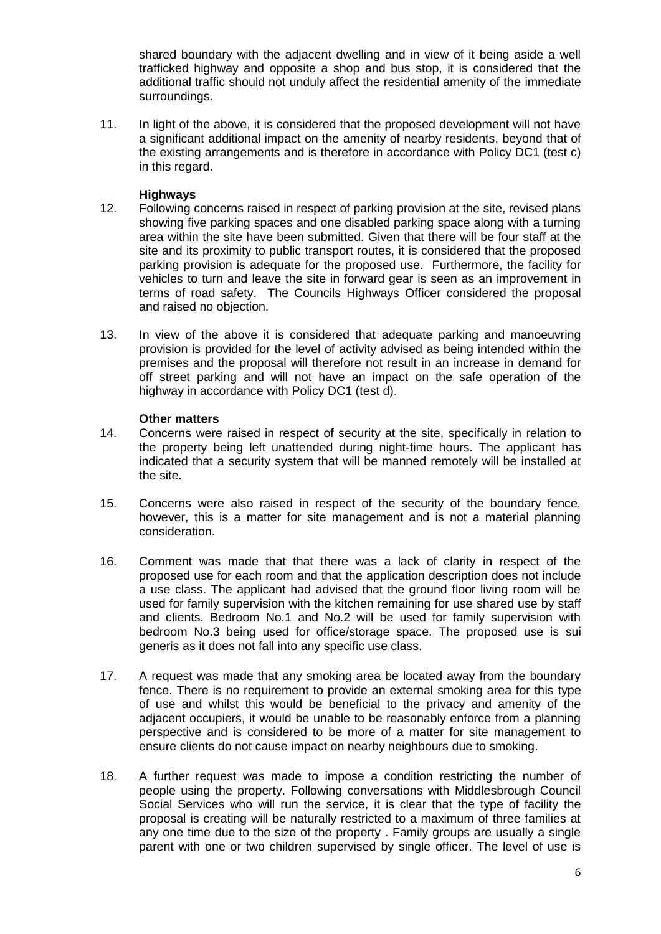shared boundary with the adjacent dwelling and in view of it being aside a well trafficked highway and opposite a shop and bus stop, it is considered that the additional traffic should not unduly affect the residential amenity of the immediate surroundings.

11. In light of the above, it is considered that the proposed development will not have a significant additional impact on the amenity of nearby residents, beyond that of the existing arrangements and is therefore in accordance with Policy DC1 (test c) in this regard.

# **Highways**

- 12. Following concerns raised in respect of parking provision at the site, revised plans showing five parking spaces and one disabled parking space along with a turning area within the site have been submitted. Given that there will be four staff at the site and its proximity to public transport routes, it is considered that the proposed parking provision is adequate for the proposed use. Furthermore, the facility for vehicles to turn and leave the site in forward gear is seen as an improvement in terms of road safety. The Councils Highways Officer considered the proposal and raised no objection.
- 13. In view of the above it is considered that adequate parking and manoeuvring provision is provided for the level of activity advised as being intended within the premises and the proposal will therefore not result in an increase in demand for off street parking and will not have an impact on the safe operation of the highway in accordance with Policy DC1 (test d).

# **Other matters**

- 14. Concerns were raised in respect of security at the site, specifically in relation to the property being left unattended during night-time hours. The applicant has indicated that a security system that will be manned remotely will be installed at the site.
- 15. Concerns were also raised in respect of the security of the boundary fence, however, this is a matter for site management and is not a material planning consideration.
- 16. Comment was made that that there was a lack of clarity in respect of the proposed use for each room and that the application description does not include a use class. The applicant had advised that the ground floor living room will be used for family supervision with the kitchen remaining for use shared use by staff and clients. Bedroom No.1 and No.2 will be used for family supervision with bedroom No.3 being used for office/storage space. The proposed use is sui generis as it does not fall into any specific use class.
- 17. A request was made that any smoking area be located away from the boundary fence. There is no requirement to provide an external smoking area for this type of use and whilst this would be beneficial to the privacy and amenity of the adjacent occupiers, it would be unable to be reasonably enforce from a planning perspective and is considered to be more of a matter for site management to ensure clients do not cause impact on nearby neighbours due to smoking.
- 18. A further request was made to impose a condition restricting the number of people using the property. Following conversations with Middlesbrough Council Social Services who will run the service, it is clear that the type of facility the proposal is creating will be naturally restricted to a maximum of three families at any one time due to the size of the property . Family groups are usually a single parent with one or two children supervised by single officer. The level of use is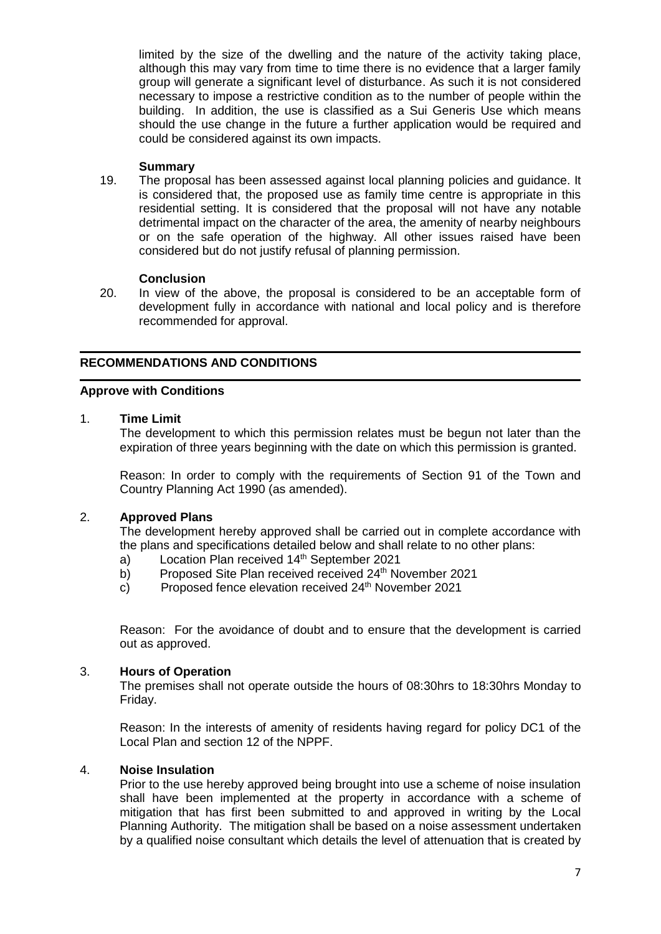limited by the size of the dwelling and the nature of the activity taking place, although this may vary from time to time there is no evidence that a larger family group will generate a significant level of disturbance. As such it is not considered necessary to impose a restrictive condition as to the number of people within the building. In addition, the use is classified as a Sui Generis Use which means should the use change in the future a further application would be required and could be considered against its own impacts.

### **Summary**

19. The proposal has been assessed against local planning policies and guidance. It is considered that, the proposed use as family time centre is appropriate in this residential setting. It is considered that the proposal will not have any notable detrimental impact on the character of the area, the amenity of nearby neighbours or on the safe operation of the highway. All other issues raised have been considered but do not justify refusal of planning permission.

### **Conclusion**

20. In view of the above, the proposal is considered to be an acceptable form of development fully in accordance with national and local policy and is therefore recommended for approval.

# **RECOMMENDATIONS AND CONDITIONS**

### **Approve with Conditions**

### 1. **Time Limit**

The development to which this permission relates must be begun not later than the expiration of three years beginning with the date on which this permission is granted.

Reason: In order to comply with the requirements of Section 91 of the Town and Country Planning Act 1990 (as amended).

# 2. **Approved Plans**

The development hereby approved shall be carried out in complete accordance with the plans and specifications detailed below and shall relate to no other plans:

- a) Location Plan received 14<sup>th</sup> September 2021
- b) Proposed Site Plan received received 24<sup>th</sup> November 2021
- c) Proposed fence elevation received 24<sup>th</sup> November 2021

Reason: For the avoidance of doubt and to ensure that the development is carried out as approved.

# 3. **Hours of Operation**

The premises shall not operate outside the hours of 08:30hrs to 18:30hrs Monday to Friday.

Reason: In the interests of amenity of residents having regard for policy DC1 of the Local Plan and section 12 of the NPPF.

#### 4. **Noise Insulation**

Prior to the use hereby approved being brought into use a scheme of noise insulation shall have been implemented at the property in accordance with a scheme of mitigation that has first been submitted to and approved in writing by the Local Planning Authority. The mitigation shall be based on a noise assessment undertaken by a qualified noise consultant which details the level of attenuation that is created by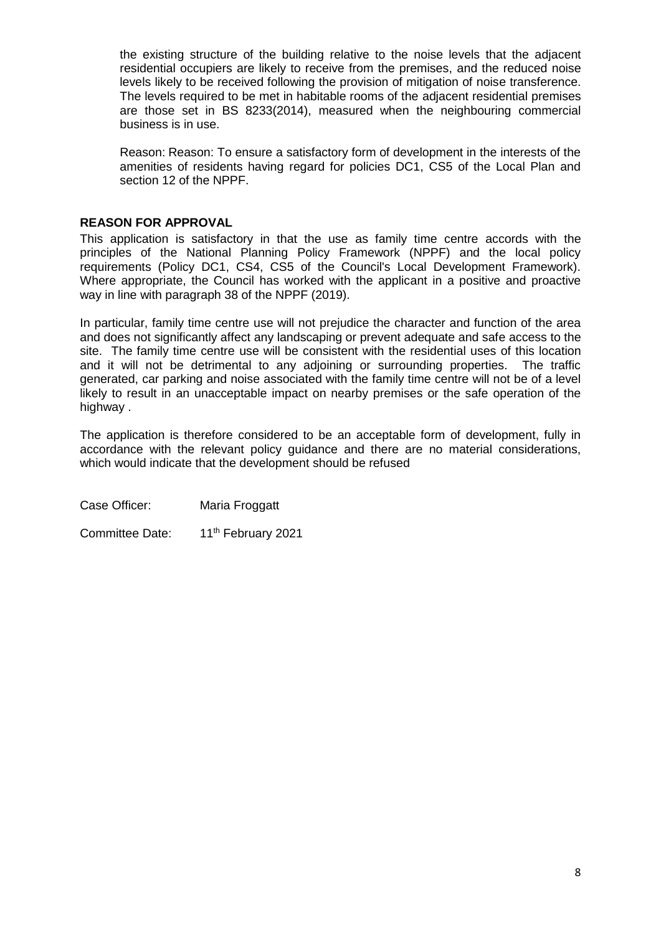the existing structure of the building relative to the noise levels that the adjacent residential occupiers are likely to receive from the premises, and the reduced noise levels likely to be received following the provision of mitigation of noise transference. The levels required to be met in habitable rooms of the adjacent residential premises are those set in BS 8233(2014), measured when the neighbouring commercial business is in use.

Reason: Reason: To ensure a satisfactory form of development in the interests of the amenities of residents having regard for policies DC1, CS5 of the Local Plan and section 12 of the NPPF.

# **REASON FOR APPROVAL**

This application is satisfactory in that the use as family time centre accords with the principles of the National Planning Policy Framework (NPPF) and the local policy requirements (Policy DC1, CS4, CS5 of the Council's Local Development Framework). Where appropriate, the Council has worked with the applicant in a positive and proactive way in line with paragraph 38 of the NPPF (2019).

In particular, family time centre use will not prejudice the character and function of the area and does not significantly affect any landscaping or prevent adequate and safe access to the site. The family time centre use will be consistent with the residential uses of this location and it will not be detrimental to any adjoining or surrounding properties. The traffic generated, car parking and noise associated with the family time centre will not be of a level likely to result in an unacceptable impact on nearby premises or the safe operation of the highway.

The application is therefore considered to be an acceptable form of development, fully in accordance with the relevant policy guidance and there are no material considerations, which would indicate that the development should be refused

Case Officer: Maria Froggatt

Committee Date: 11<sup>th</sup> February 2021